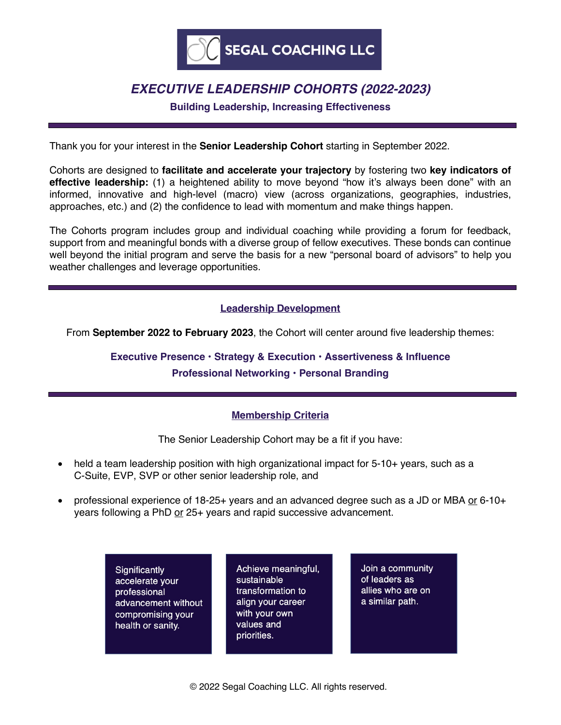

## *EXECUTIVE LEADERSHIP COHORTS (2022-2023)*

**Building Leadership, Increasing Effectiveness**

Thank you for your interest in the **Senior Leadership Cohort** starting in September 2022.

Cohorts are designed to **facilitate and accelerate your trajectory** by fostering two **key indicators of effective leadership:** (1) a heightened ability to move beyond "how it's always been done" with an informed, innovative and high-level (macro) view (across organizations, geographies, industries, approaches, etc.) and (2) the confidence to lead with momentum and make things happen.

The Cohorts program includes group and individual coaching while providing a forum for feedback, support from and meaningful bonds with a diverse group of fellow executives. These bonds can continue well beyond the initial program and serve the basis for a new "personal board of advisors" to help you weather challenges and leverage opportunities.

## **Leadership Development**

From **September 2022 to February 2023**, the Cohort will center around five leadership themes:

**Executive Presence • Strategy & Execution • Assertiveness & Influence**

## **Professional Networking • Personal Branding**

### **Membership Criteria**

The Senior Leadership Cohort may be a fit if you have:

- held a team leadership position with high organizational impact for 5-10+ years, such as a C-Suite, EVP, SVP or other senior leadership role, and
- professional experience of 18-25+ years and an advanced degree such as a JD or MBA or 6-10+ years following a PhD or 25+ years and rapid successive advancement.

Significantly accelerate vour professional advancement without compromising your health or sanity.

Achieve meaningful, sustainable transformation to align your career with your own values and priorities.

Join a community of leaders as allies who are on a similar path.